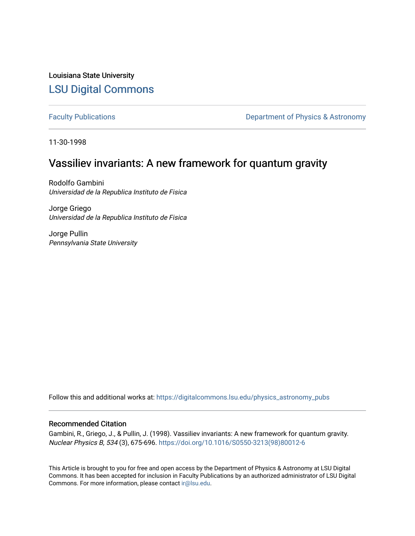Louisiana State University [LSU Digital Commons](https://digitalcommons.lsu.edu/)

[Faculty Publications](https://digitalcommons.lsu.edu/physics_astronomy_pubs) **Exercise 2** and Table 2 and Department of Physics & Astronomy

11-30-1998

# Vassiliev invariants: A new framework for quantum gravity

Rodolfo Gambini Universidad de la Republica Instituto de Fisica

Jorge Griego Universidad de la Republica Instituto de Fisica

Jorge Pullin Pennsylvania State University

Follow this and additional works at: [https://digitalcommons.lsu.edu/physics\\_astronomy\\_pubs](https://digitalcommons.lsu.edu/physics_astronomy_pubs?utm_source=digitalcommons.lsu.edu%2Fphysics_astronomy_pubs%2F4423&utm_medium=PDF&utm_campaign=PDFCoverPages) 

# Recommended Citation

Gambini, R., Griego, J., & Pullin, J. (1998). Vassiliev invariants: A new framework for quantum gravity. Nuclear Physics B, 534 (3), 675-696. [https://doi.org/10.1016/S0550-3213\(98\)80012-6](https://doi.org/10.1016/S0550-3213(98)80012-6) 

This Article is brought to you for free and open access by the Department of Physics & Astronomy at LSU Digital Commons. It has been accepted for inclusion in Faculty Publications by an authorized administrator of LSU Digital Commons. For more information, please contact [ir@lsu.edu](mailto:ir@lsu.edu).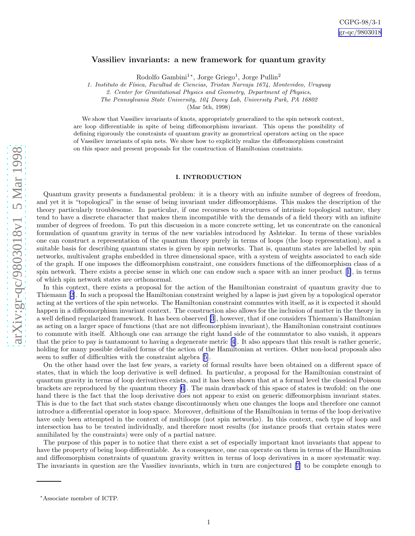# Vassiliev invariants: a new framework for quantum gravity

Rodolfo Gambini<sup>1\*</sup>, Jorge Griego<sup>1</sup>, Jorge Pullin<sup>2</sup>

1. Instituto de Física, Facultad de Ciencias, Tristan Narvaja 1674, Montevideo, Uruguay

2. Center for Gravitational Physics and Geometry, Department of Physics,

The Pennsylvania State University, 104 Davey Lab, University Park, PA 16802

(Mar 5th, 1998)

We show that Vassiliev invariants of knots, appropriately generalized to the spin network context, are loop differentiable in spite of being diffeomorphism invariant. This opens the possibility of defining rigorously the constraints of quantum gravity as geometrical operators acting on the space of Vassiliev invariants of spin nets. We show how to explicitly realize the diffeomorphism constraint on this space and present proposals for the construction of Hamiltonian constraints.

# I. INTRODUCTION

Quantum gravity presents a fundamental problem: it is a theory with an infinite number of degrees of freedom, and yet it is "topological" in the sense of being invariant under diffeomorphisms. This makes the description of the theory particularly troublesome. In particular, if one recourses to structures of intrinsic topological nature, they tend to have a discrete character that makes them incompatible with the demands of a field theory with an infinite number of degrees of freedom. To put this discussion in a more concrete setting, let us concentrate on the canonical formulation of quantum gravity in terms of the new variables introduced by Ashtekar. In terms of these variables one can construct a representation of the quantum theory purely in terms of loops (the loop representation), and a suitable basis for describing quantum states is given by spin networks. That is, quantum states are labelled by spin networks, multivalent graphs embedded in three dimensional space, with a system of weights associated to each side of the graph. If one imposes the diffeomorphism constraint, one considers functions of the diffeomorphism class of a spin network. There exists a precise sense in which one can endow such a space with an inner product[[1\]](#page-14-0), in terms of which spin network states are orthonormal.

In this context, there exists a proposal for the action of the Hamiltonian constraint of quantum gravity due to Thiemann[[2\]](#page-14-0). In such a proposal the Hamiltonian constraint weighed by a lapse is just given by a topological operator acting at the vertices of the spin networks. The Hamiltonian constraint commutes with itself, as it is expected it should happen in a diffeomorphism invariant context. The construction also allows for the inclusion of matter in the theory in a well defined regularized framework. It has been observed [\[3](#page-14-0)], however, that if one considers Thiemann's Hamiltonian as acting on a larger space of functions (that are not diffeomorphism invariant), the Hamiltonian constraint continues to commute with itself. Although one can arrange the right hand side of the commutator to also vanish, it appears that the price to pay is tantamount to having a degenerate metric[[4](#page-14-0)]. It also appears that this result is rather generic, holding for many possible detailed forms of the action of the Hamiltonian at vertices. Other non-local proposals also seem to suffer of difficulties with the constraint algebra[[5\]](#page-14-0).

On the other hand over the last few years, a variety of formal results have been obtained on a different space of states, that in which the loop derivative is well defined. In particular, a proposal for the Hamiltonian constraint of quantum gravity in terms of loop derivatives exists, and it has been shown that at a formal level the classical Poisson brackets are reproduced by the quantum theory [\[6](#page-14-0)]. The main drawback of this space of states is twofold: on the one hand there is the fact that the loop derivative does not appear to exist on generic diffeomorphism invariant states. This is due to the fact that such states change discontinuously when one changes the loops and therefore one cannot introduce a differential operator in loop space. Moreover, definitions of the Hamiltonian in terms of the loop derivative have only been attempted in the context of multiloops (not spin networks). In this context, each type of loop and intersection has to be treated individually, and therefore most results (for instance proofs that certain states were annihilated by the constraints) were only of a partial nature.

The purpose of this paper is to notice that there exist a set of especially important knot invariants that appear to have the property of being loop differentiable. As a consequence, one can operate on them in terms of the Hamiltonian and diffeomorphism constraints of quantum gravity written in terms of loop derivatives in a more systematic way. The invariants in question are the Vassiliev invariants, which in turn are conjectured [\[7](#page-15-0)] to be complete enough to

<sup>∗</sup>Associate member of ICTP.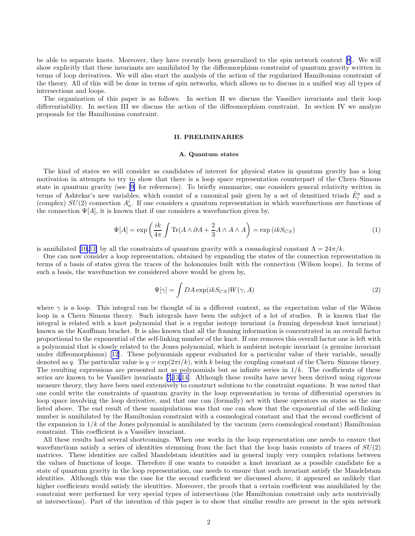be able to separate knots. Moreover, they have recently been generalized to the spin network context [\[8](#page-15-0)]. We will show explicitly that these invariants are annihilated by the diffeomorphism constraint of quantum gravity written in terms of loop derivatives. We will also start the analysis of the action of the regularized Hamiltonian constraint of the theory. All of this will be done in terms of spin networks, which allows us to discuss in a unified way all types of intersections and loops.

The organization of this paper is as follows. In section II we discuss the Vassiliev invariants and their loop differentiability. In section III we discuss the action of the diffeomorphism constraint. In section IV we analyze proposals for the Hamiltonian constraint.

#### II. PRELIMINARIES

#### A. Quantum states

The kind of states we will consider as candidates of interest for physical states in quantum gravity has a long motivation in attempts to try to show that there is a loop space representation counterpart of the Chern–Simons state in quantum gravity (see [\[9\]](#page-15-0) for references). To briefly summarize, one considers general relativity written in terms of Ashtekar's new variables, which consist of a canonical pair given by a set of densitized triads  $\tilde{E}^a_i$  and a (complex)  $SU(2)$  connection  $A_a^i$ . If one considers a quantum representation in which wavefunctions are functions of the connection  $\Psi[A]$ , it is known that if one considers a wavefunction given by,

$$
\Psi[A] = \exp\left(\frac{ik}{4\pi} \int \text{Tr}(A \wedge \partial A + \frac{2}{3} A \wedge A \wedge A)\right) = \exp(ikS_{CS})
$$
\n(1)

isannihilated [[10,11\]](#page-15-0) by all the constraints of quantum gravity with a cosmological constant  $\Lambda = 24\pi/k$ .

One can now consider a loop representation, obtained by expanding the states of the connection representation in terms of a basis of states given the traces of the holonomies built with the connection (Wilson loops). In terms of such a basis, the wavefunction we considered above would be given by,

$$
\Psi[\gamma] = \int DA \exp(ikS_{CS}) W(\gamma, A)
$$
\n(2)

where  $\gamma$  is a loop. This integral can be thought of in a different context, as the expectation value of the Wilson loop in a Chern–Simons theory. Such integrals have been the subject of a lot of studies. It is known that the integral is related with a knot polynomial that is a regular isotopy invariant (a framing dependent knot invariant) known as the Kauffman bracket. It is also known that all the framing information is concentrated in an overall factor proportional to the exponential of the self-linking number of the knot. If one removes this overall factor one is left with a polynomial that is closely related to the Jones polynomial, which is ambient isotopic invariant (a genuine invariant under diffeomorphisms)[[12\]](#page-15-0). These polynomials appear evaluated for a particular value of their variable, usually denoted as q. The particular value is  $q = \exp(2\pi i/k)$ , with k being the coupling constant of the Chern–Simons theory. The resulting expressions are presented not as polynomials but as infinite series in  $1/k$ . The coefficients of these series are known to be Vassiliev invariants[[7,13,14\]](#page-15-0). Although these results have never been derived using rigorous measure theory, they have been used extensively to construct solutions to the constraint equations. It was noted that one could write the constraints of quantum gravity in the loop representation in terms of differential operators in loop space involving the loop derivative, and that one can (formally) act with these operators on states as the one listed above. The end result of these manipulations was that one can show that the exponential of the self-linking number is annihilated by the Hamiltonian constraint with a cosmological constant and that the second coefficient of the expansion in  $1/k$  of the Jones polynomial is annihilated by the vacuum (zero cosmological constant) Hamiltonian constraint. This coefficient is a Vassiliev invariant.

All these results had several shortcomings. When one works in the loop representation one needs to ensure that wavefunctions satisfy a series of identities stemming from the fact that the loop basis consists of traces of  $SU(2)$ matrices. These identities are called Mandelstam identities and in general imply very complex relations between the values of functions of loops. Therefore if one wants to consider a knot invariant as a possible candidate for a state of quantum gravity in the loop representation, one needs to ensure that such invariant satisfy the Mandelstam identities. Although this was the case for the second coefficient we discussed above, it appeared as unlikely that higher coefficients would satisfy the identities. Moreover, the proofs that a certain coefficient was annihilated by the constraint were performed for very special types of intersections (the Hamiltonian constraint only acts nontrivially at intersections). Part of the intention of this paper is to show that similar results are present in the spin network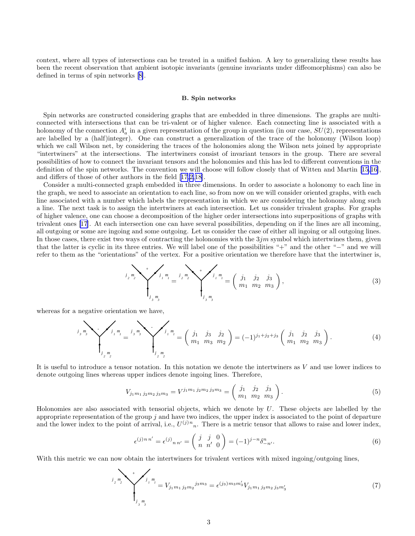context, where all types of intersections can be treated in a unified fashion. A key to generalizing these results has been the recent observation that ambient isotopic invariants (genuine invariants under diffeomorphisms) can also be defined in terms of spin networks[[8\]](#page-15-0).

#### B. Spin networks

Spin networks are constructed considering graphs that are embedded in three dimensions. The graphs are multiconnected with intersections that can be tri-valent or of higher valence. Each connecting line is associated with a holonomy of the connection  $A_a^i$  in a given representation of the group in question (in our case,  $SU(2)$ , representations are labelled by a (half)integer). One can construct a generalization of the trace of the holonomy (Wilson loop) which we call Wilson net, by considering the traces of the holonomies along the Wilson nets joined by appropriate "intertwiners" at the intersections. The intertwiners consist of invariant tensors in the group. There are several possibilities of how to connect the invariant tensors and the holonomies and this has led to different conventions in the definition of the spin networks. The convention we will choose will follow closely that of Witten and Martin[[15,16\]](#page-15-0), and differs of those of other authors in the field[[17](#page-15-0),[2,](#page-14-0)[18\]](#page-15-0).

Consider a multi-connected graph embedded in three dimensions. In order to associate a holonomy to each line in the graph, we need to associate an orientation to each line, so from now on we will consider oriented graphs, with each line associated with a number which labels the representation in which we are considering the holonomy along such a line. The next task is to assign the intertwiners at each intersection. Let us consider trivalent graphs. For graphs of higher valence, one can choose a decomposition of the higher order intersections into superpositions of graphs with trivalent ones[[17\]](#page-15-0). At each intersection one can have several possibilities, depending on if the lines are all incoming, all outgoing or some are ingoing and some outgoing. Let us consider the case of either all ingoing or all outgoing lines. In those cases, there exist two ways of contracting the holonomies with the  $3\dot{m}$  symbol which intertwines them, given that the latter is cyclic in its three entries. We will label one of the possibilities "+" and the other "−" and we will refer to them as the "orientations" of the vertex. For a positive orientation we therefore have that the intertwiner is,

$$
\sum_{j_2 \atop j_3 \atop j_3 \atop j_3 \atop j_3 \atop j_3 \atop j_3 \atop j_3 \atop j_3 \atop j_3 \atop j_3 \atop j_3 \atop j_3 \atop j_3 \atop j_3 \atop j_3 \atop j_3 \atop j_3 \atop j_3 \quad (3)}
$$
 (3)

whereas for a negative orientation we have,

$$
\sum_{j_{j} \atop j_{j_{j}} \atop j_{j_{j}} \atop j_{j_{j}} \atop j_{j_{j}} \atop j_{j_{j}} \atop j_{j_{j}} \atop j_{j_{j}} \atop j_{j_{j}} \qquad (4)}
$$
 (4)

It is useful to introduce a tensor notation. In this notation we denote the intertwiners as V and use lower indices to denote outgoing lines whereas upper indices denote ingoing lines. Therefore,

$$
V_{j_1m_1\,j_2m_2\,j_3m_3} = V^{j_1m_1\,j_2m_2\,j_3m_3} = \begin{pmatrix} j_1 & j_2 & j_3 \ m_1 & m_2 & m_3 \end{pmatrix} . \tag{5}
$$

Holonomies are also associated with tensorial objects, which we denote by U. These objects are labelled by the appropriate representation of the group  $j$  and have two indices, the upper index is associated to the point of departure and the lower index to the point of arrival, i.e.,  $U^{(j)n}$ . There is a metric tensor that allows to raise and lower index,

$$
\epsilon^{(j)n'n} = \epsilon^{(j)}_{n'n'} = \begin{pmatrix} j & j & 0 \\ n & n' & 0 \end{pmatrix} = (-1)^{j-n} \delta_{-n'}^n.
$$
 (6)

With this metric we can now obtain the intertwiners for trivalent vertices with mixed ingoing/outgoing lines,

$$
\sum_{j_{2} \atop j_{3} \atop j_{3} \atop j_{3} \atop j_{4}} + \sum_{j_{1} \atop j_{1} \atop j_{2} \atop j_{3} \atop j_{4}}} + \sum_{j_{1} \atop j_{1} \atop j_{2} \atop j_{3} \atop j_{4}} + \sum_{j_{2} \atop j_{1} \atop j_{1} \atop j_{2} \atop j_{3} \atop j_{4}} + \sum_{j_{1} \atop j_{1} \atop j_{1} \atop j_{1} \atop j_{1} \atop j_{1} \atop j_{1} \atop j_{1} \atop j_{1} \atop j_{1} \atop j_{1} \atop j_{1} \atop j_{1} \atop j_{1} \atop j_{1} \atop j_{1} \atop j_{1} \atop j_{1} \atop j_{1} \atop j_{1} \atop j_{1} \atop j_{1} \atop j_{1} \atop j_{1} \atop j_{1} \atop j_{1} \atop j_{1} \atop j_{1} \atop j_{1} \atop j_{1} \atop j_{1} \atop j_{1} \atop j_{1} \atop j_{1} \atop j_{1} \atop j_{1} \atop j_{1} \atop j_{1} \atop j_{1} \atop j_{1} \atop j_{1} \atop j_{1} \atop j_{1} \atop j_{1} \atop j_{1} \atop j_{1} \atop j_{1} \atop j_{1} \atop j_{1} \atop j_{1} \atop j_{1} \atop j_{1} \atop j_{1} \atop j_{1} \atop j_{1} \atop j_{1} \atop j_{1} \atop j_{1} \atop j_{1} \atop j_{1} \atop j_{1} \atop j_{1} \atop j_{1} \atop j_{1} \atop j_{1} \atop j_{1} \atop j_{1} \atop j_{1} \atop j_{1} \atop j_{1} \atop j_{1} \atop j_{1} \atop j_{1} \atop j_{1} \atop j_{1} \atop j_{1} \atop j_{1} \atop j_{1} \atop j_{1} \atop j_{1} \atop j_{1} \atop j_{1} \atop j_{1} \atop j_{1} \atop j_{1} \atop j_{1} \atop j_{1}
$$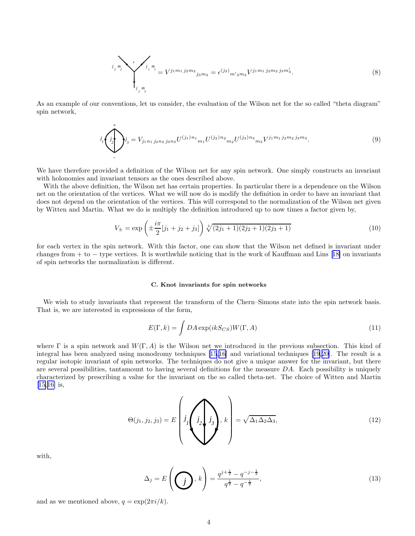$$
\sum_{j_{2} \atop j_{3} \atop j_{3} \atop j_{3} \atop j_{3}}}^{+\left\{\right.^{}}\right\}_{l} \sum_{j_{1} \atop j_{2} \atop j_{3} \atop j_{3}}}^{+\left\{\right.^{}}\right\}_{l} \sum_{j_{2} \atop j_{3} \atop j_{3} \atop j_{3}}^{+\left\{\right.^{}}\right\}_{l} \sum_{j_{3} \atop j_{3} \atop j_{3}}^{+\left\{\right.^{}}\right\}_{l} \sum_{j_{1} \atop j_{1} \atop j_{2} \atop j_{3} \atop j_{3}}^{+\left\{\right.^{}}\right\}_{l} \sum_{j_{1} \atop j_{2} \atop j_{3} \atop j_{3}}^{+\left\{\right.^{}}\right\}_{l}}
$$
\n
$$
(8)
$$

As an example of our conventions, let us consider, the evaluation of the Wilson net for the so called "theta diagram" spin network,

$$
j_1 \left( \sum_{j} j_j = V_{j_1 n_1 j_2 n_2 j_3 n_3} U^{(j_1) n_1}{}_{m_1} U^{(j_2) n_2}{}_{m_2} U^{(j_3) n_3}{}_{m_3} V^{j_1 m_1 j_2 m_2 j_3 m_3}.\right) \tag{9}
$$

We have therefore provided a definition of the Wilson net for any spin network. One simply constructs an invariant with holonomies and invariant tensors as the ones described above.

With the above definition, the Wilson net has certain properties. In particular there is a dependence on the Wilson net on the orientation of the vertices. What we will now do is modify the definition in order to have an invariant that does not depend on the orientation of the vertices. This will correspond to the normalization of the Wilson net given by Witten and Martin. What we do is multiply the definition introduced up to now times a factor given by,

$$
V_{\pm} = \exp\left(\pm \frac{i\pi}{2} [j_1 + j_2 + j_3] \right) \sqrt[4]{(2j_1 + 1)(2j_2 + 1)(2j_3 + 1)} \tag{10}
$$

for each vertex in the spin network. With this factor, one can show that the Wilson net defined is invariant under changes from + to − type vertices. It is worthwhile noticing that in the work of Kauffman and Lins[[18\]](#page-15-0) on invariants of spin networks the normalization is different.

#### C. Knot invariants for spin networks

We wish to study invariants that represent the transform of the Chern–Simons state into the spin network basis. That is, we are interested in expressions of the form,

$$
E(\Gamma, k) = \int DA \exp(ikS_{CS}) W(\Gamma, A)
$$
\n(11)

where  $\Gamma$  is a spin network and  $W(\Gamma, A)$  is the Wilson net we introduced in the previous subsection. This kind of integral has been analyzed using monodromy techniques [\[15,16](#page-15-0)] and variational techniques [\[19](#page-15-0),[20](#page-15-0)]. The result is a regular isotopic invariant of spin networks. The techniques do not give a unique answer for the invariant, but there are several possibilities, tantamount to having several definitions for the measure  $DA$ . Each possibility is uniquely characterized by prescribing a value for the invariant on the so called theta-net. The choice of Witten and Martin [[15,16\]](#page-15-0) is,

$$
\Theta(j_1, j_2, j_3) = E\left(j_1 \left(j_2 \left(j_3 \right), k\right) = \sqrt{\Delta_1 \Delta_2 \Delta_3},\right)
$$
\n(12)

with,

$$
\Delta_j = E\left(\bigodot j, k\right) = \frac{q^{j + \frac{1}{2}} - q^{-j - \frac{1}{2}}}{q^{\frac{1}{2}} - q^{-\frac{1}{2}}},\tag{13}
$$

and as we mentioned above,  $q = \exp(2\pi i/k)$ .

*+*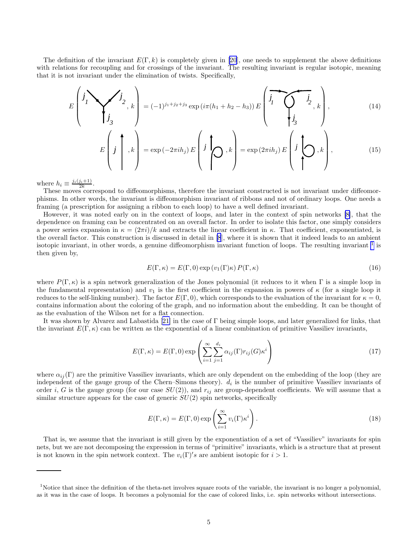<span id="page-5-0"></span>The definition of the invariant  $E(\Gamma, k)$  is completely given in [\[20](#page-15-0)], one needs to supplement the above definitions with relations for recoupling and for crossings of the invariant. The resulting invariant is regular isotopic, meaning that it is not invariant under the elimination of twists. Specifically,

$$
E\left(\begin{array}{c}\n\vec{j} \\
\vec{k}\n\end{array}\right) = (-1)^{j_1+j_2+j_3} \exp(i\pi(h_1+h_2-h_3)) E\left(\begin{array}{c}\n\vec{j} \\
\vec{j} \\
\vec{k}\n\end{array}\right),
$$
\n(14)

$$
E\left(j\uparrow,k\right) = \exp(-2\pi i h_j) E\left(j\uparrow\hspace{-1mm}\bigwedge\limits k\right) = \exp(2\pi i h_j) E\left(j\uparrow\hspace{-1mm}\bigwedge\limits k\right), \tag{15}
$$

where  $h_i \equiv \frac{j_i(j_i+1)}{2k}$ .

These moves correspond to diffeomorphisms, therefore the invariant constructed is not invariant under diffeomorphisms. In other words, the invariant is diffeomorphism invariant of ribbons and not of ordinary loops. One needs a framing (a prescription for assigning a ribbon to each loop) to have a well defined invariant.

However, it was noted early on in the context of loops, and later in the context of spin networks [\[8\]](#page-15-0), that the dependence on framing can be concentrated on an overall factor. In order to isolate this factor, one simply considers a power series expansion in  $\kappa = (2\pi i)/k$  and extracts the linear coefficient in  $\kappa$ . That coefficient, exponentiated, is the overall factor. This construction is discussed in detail in [\[8](#page-15-0)], where it is shown that it indeed leads to an ambient isotopic invariant, in other words, a genuine diffeomorphism invariant function of loops. The resulting invariant  $^1$  is then given by,

$$
E(\Gamma, \kappa) = E(\Gamma, 0) \exp(v_1(\Gamma)\kappa) P(\Gamma, \kappa)
$$
\n(16)

where  $P(\Gamma, \kappa)$  is a spin network generalization of the Jones polynomial (it reduces to it when  $\Gamma$  is a simple loop in the fundamental representation) and  $v_1$  is the first coefficient in the expansion in powers of  $\kappa$  (for a single loop it reduces to the self-linking number). The factor  $E(\Gamma, 0)$ , which corresponds to the evaluation of the invariant for  $\kappa = 0$ , contains information about the coloring of the graph, and no information about the embedding. It can be thought of as the evaluation of the Wilson net for a flat connection.

It was shown by Alvarez and Labastida[[21\]](#page-15-0) in the case of Γ being simple loops, and later generalized for links, that the invariant  $E(\Gamma,\kappa)$  can be written as the exponential of a linear combination of primitive Vassiliev invariants,

$$
E(\Gamma, \kappa) = E(\Gamma, 0) \exp\left(\sum_{i=1}^{\infty} \sum_{j=1}^{d_i} \alpha_{ij}(\Gamma) r_{ij}(G) \kappa^i\right)
$$
\n(17)

where  $\alpha_{ii}(\Gamma)$  are the primitive Vassiliev invariants, which are only dependent on the embedding of the loop (they are independent of the gauge group of the Chern–Simons theory).  $d_i$  is the number of primitive Vassiliev invariants of order i, G is the gauge group (for our case  $SU(2)$ ), and  $r_{ij}$  are group-dependent coefficients. We will assume that a similar structure appears for the case of generic  $SU(2)$  spin networks, specifically

$$
E(\Gamma, \kappa) = E(\Gamma, 0) \exp\left(\sum_{i=1}^{\infty} v_i(\Gamma) \kappa^i\right).
$$
 (18)

That is, we assume that the invariant is still given by the exponentiation of a set of "Vassiliev" invariants for spin nets, but we are not decomposing the expression in terms of "primitive" invariants, which is a structure that at present is not known in the spin network context. The  $v_i(\Gamma)'s$  are ambient isotopic for  $i > 1$ .

<sup>&</sup>lt;sup>1</sup>Notice that since the definition of the theta-net involves square roots of the variable, the invariant is no longer a polynomial, as it was in the case of loops. It becomes a polynomial for the case of colored links, i.e. spin networks without intersections.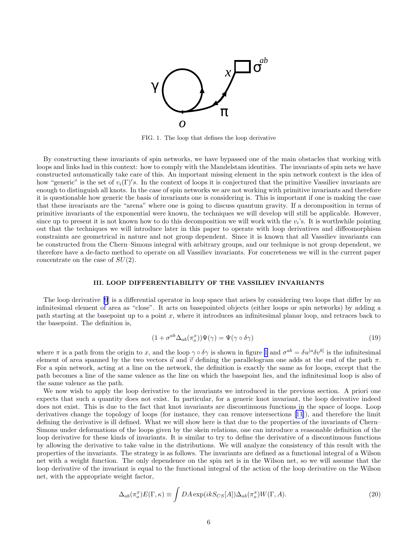

FIG. 1. The loop that defines the loop derivative

By constructing these invariants of spin networks, we have bypassed one of the main obstacles that working with loops and links had in this context: how to comply with the Mandelstam identities. The invariants of spin nets we have constructed automatically take care of this. An important missing element in the spin network context is the idea of how "generic" is the set of  $v_i(\Gamma)'s$ . In the context of loops it is conjectured that the primitive Vassiliev invariants are enough to distinguish all knots. In the case of spin networks we are not working with primitive invariants and therefore it is questionable how generic the basis of invariants one is considering is. This is important if one is making the case that these invariants are the "arena" where one is going to discuss quantum gravity. If a decomposition in terms of primitive invariants of the exponential were known, the techniques we will develop will still be applicable. However, since up to present it is not known how to do this decomposition we will work with the  $v_i$ 's. It is worthwhile pointing out that the techniques we will introduce later in this paper to operate with loop derivatives and diffeomorphism constraints are geometrical in nature and not group dependent. Since it is known that all Vassiliev invariants can be constructed from the Chern–Simons integral with arbitrary groups, and our technique is not group dependent, we therefore have a de-facto method to operate on all Vassiliev invariants. For concreteness we will in the current paper concentrate on the case of  $SU(2)$ .

#### III. LOOP DIFFERENTIABILITY OF THE VASSILIEV INVARIANTS

The loop derivative [\[9](#page-15-0)] is a differential operator in loop space that arises by considering two loops that differ by an infinitesimal element of area as "close". It acts on basepointed objects (either loops or spin networks) by adding a path starting at the basepoint up to a point  $x$ , where it introduces an infinitesimal planar loop, and retraces back to the basepoint. The definition is,

$$
(1 + \sigma^{ab} \Delta_{ab}(\pi^x_o)) \Psi(\gamma) = \Psi(\gamma \circ \delta \gamma)
$$
\n(19)

where  $\pi$  is a path from the origin to x, and the loop  $\gamma \circ \delta \gamma$  is shown in figure 1 and  $\sigma^{ab} = \delta u^{[a} \delta v^{b]}$  is the infinitesimal element of area spanned by the two vectors  $\vec{u}$  and  $\vec{v}$  defining the parallelogram one adds at the end of the path  $\pi$ . For a spin network, acting at a line on the network, the definition is exactly the same as for loops, except that the path becomes a line of the same valence as the line on which the basepoint lies, and the infinitesimal loop is also of the same valence as the path.

We now wish to apply the loop derivative to the invariants we introduced in the previous section. A priori one expects that such a quantity does not exist. In particular, for a generic knot invariant, the loop derivative indeed does not exist. This is due to the fact that knot invariants are discontinuous functions in the space of loops. Loop derivatives change the topology of loops (for instance, they can remove intersections [\[11](#page-15-0)]), and therefore the limit defining the derivative is ill defined. What we will show here is that due to the properties of the invariants of Chern– Simons under deformations of the loops given by the skein relations, one can introduce a reasonable definition of the loop derivative for these kinds of invariants. It is similar to try to define the derivative of a discontinuous functions by allowing the derivative to take value in the distributions. We will analyze the consistency of this result with the properties of the invariants. The strategy is as follows. The invariants are defined as a functional integral of a Wilson net with a weight function. The only dependence on the spin net is in the Wilson net, so we will assume that the loop derivative of the invariant is equal to the functional integral of the action of the loop derivative on the Wilson net, with the appropriate weight factor,

$$
\Delta_{ab}(\pi_o^x)E(\Gamma,\kappa) \equiv \int DA \exp(ikS_{CS}[A])\Delta_{ab}(\pi_o^x)W(\Gamma,A). \tag{20}
$$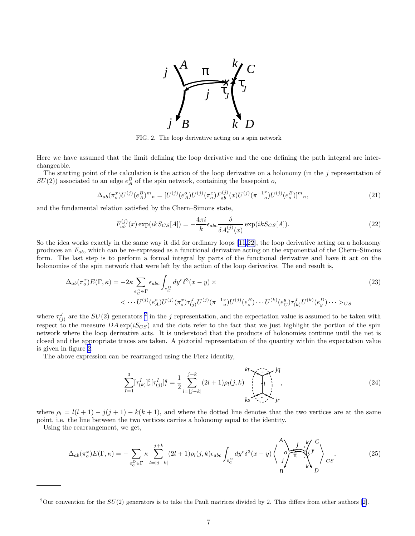

FIG. 2. The loop derivative acting on a spin network

Here we have assumed that the limit defining the loop derivative and the one defining the path integral are interchangeable.

The starting point of the calculation is the action of the loop derivative on a holonomy (in the  $j$  representation of  $SU(2)$ ) associated to an edge  $e_A^B$  of the spin network, containing the basepoint  $o$ ,

$$
\Delta_{ab}(\pi_o^x) U^{(j)}(e_A^B)^m{}_n = [U^{(j)}(e_A^o) U^{(j)}(\pi_o^x) F_{ab}^{(j)}(x) U^{(j)}(\pi^{-1}{}^x_o) U^{(j)}(e_o^B)]^m{}_n,\tag{21}
$$

and the fundamental relation satisfied by the Chern–Simons state,

$$
F_{ab}^{(j)}(x) \exp(ikS_{CS}[A]) = -\frac{4\pi i}{k} \epsilon_{abc} \frac{\delta}{\delta A_c^{(j)}(x)} \exp(ikS_{CS}[A]).
$$
\n(22)

So the idea works exactly in the same way it did for ordinary loops [\[11,22](#page-15-0)], the loop derivative acting on a holonomy produces an  $F_{ab}$ , which can be re-expressed as a functional derivative acting on the exponential of the Chern–Simons form. The last step is to perform a formal integral by parts of the functional derivative and have it act on the holonomies of the spin network that were left by the action of the loop derivative. The end result is,

$$
\Delta_{ab}(\pi_o^x)E(\Gamma,\kappa) = -2\kappa \sum_{e_C^D \in \Gamma} \epsilon_{abc} \int_{e_C^D} dy^c \delta^3(x-y) \times
$$
\n
$$
\langle \cdots U^{(j)}(e_A^a)U^{(j)}(\pi_o^x)\tau_{(j)}^J U^{(j)}(\pi^{-1}{}^x)U^{(j)}(e_o^B)\cdots U^{(k)}(e_C^y)\tau_{(k)}^J U^{(k)}(e_y^D)\cdots\rangle_{CS}
$$
\n
$$
(23)
$$

where  $\tau_{(j)}^J$  are the  $SU(2)$  generators <sup>2</sup> in the j representation, and the expectation value is assumed to be taken with respect to the measure  $DA \exp(iS_{CS})$  and the dots refer to the fact that we just highlight the portion of the spin network where the loop derivative acts. It is understood that the products of holonomies continue until the net is closed and the appropriate traces are taken. A pictorial representation of the quantity within the expectation value is given in figure 2.

The above expression can be rearranged using the Fierz identity,

$$
\sum_{I=1}^{3} [\tau_{(k)}^{I}]_{s}^{t} [\tau_{(j)}^{I}]_{r}^{q} = \frac{1}{2} \sum_{l=|j-k|}^{j+k} (2l+1)\rho_{l}(j,k) \prod_{k=1}^{kt} \prod_{j=1}^{k} \tau_{(k-1)j}^{j} \tag{24}
$$

where  $\rho_l = l(l+1) - j(j+1) - k(k+1)$ , and where the dotted line denotes that the two vertices are at the same point, i.e. the line between the two vertices carries a holonomy equal to the identity.

Using the rearrangement, we get,

$$
\Delta_{ab}(\pi_o^x)E(\Gamma,\kappa) = -\sum_{e_C^D \in \Gamma} \kappa \sum_{l=|j-k|}^{j+k} (2l+1)\rho_l(j,k)\epsilon_{abc} \int_{e_C^D} dy^c \delta^3(x-y) \left\langle \int_a^A \sum_{\substack{j\\j}} \frac{j}{\pi} \sum_{k}^k \frac{\rho}{j} \right\rangle_{CS},\tag{25}
$$

<sup>&</sup>lt;sup>2</sup>Our convention for the  $SU(2)$  generators is to take the Pauli matrices divided by 2. This differs from other authors [\[2\]](#page-14-0).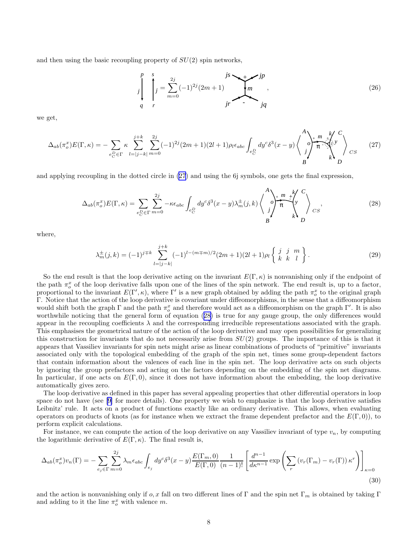<span id="page-8-0"></span>and then using the basic recoupling property of  $SU(2)$  spin networks,

$$
\int_{q}^{p} \int_{r}^{s} = \sum_{m=0}^{2j} (-1)^{2j} (2m+1) \int_{jr} \frac{jp}{m},
$$
\n(26)

*A*

we get,

$$
\Delta_{ab}(\pi_o^x)E(\Gamma,\kappa) = -\sum_{e_C^D \in \Gamma} \kappa \sum_{l=|j-k|}^{j+k} \sum_{m=0}^{2j} (-1)^{2j} (2m+1)(2l+1) \rho_l \epsilon_{abc} \int_{e_C^D} dy^c \delta^3(x-y) \left\langle \int_{j}^{A} \frac{1}{\pi} \sum_{k=0}^{m} \sum_{j=0}^{k} \delta_j (2\pi)^{2j} \delta_j \right\rangle_{CS} \tag{27}
$$

and applying recoupling in the dotted circle in (27) and using the 6j symbols, one gets the final expression,

$$
\Delta_{ab}(\pi_o^x)E(\Gamma,\kappa) = \sum_{e_C^D \in \Gamma} \sum_{m=0}^{2j} -\kappa \epsilon_{abc} \int_{e_C^D} dy^c \delta^3(x-y) \lambda_m^{\pm}(j,k) \left\langle \int_{j}^A \right\rangle + \frac{m}{\pi} \sum_{k=0}^{k} \sum_{O}^{C} \sum_{O \subset S} \left\langle \int_{O}^{S} \delta_{O} \delta_{O} \right\rangle \frac{1}{\delta_{O}} \left\langle \int_{O}^{S} \delta_{O} \delta_{O} \right\rangle \frac{1}{\delta_{O}} \left\langle \int_{O}^{S} \delta_{O} \delta_{O} \right\rangle \frac{1}{\delta_{O}} \tag{28}
$$

where,

$$
\lambda_m^{\pm}(j,k) = (-1)^{j \mp k} \sum_{l=j-k}^{j+k} (-1)^{l-(m \mp m)/2} (2m+1)(2l+1)\rho_l \begin{Bmatrix} j & j & m \\ k & k & l \end{Bmatrix}.
$$
 (29)

So the end result is that the loop derivative acting on the invariant  $E(\Gamma, \kappa)$  is nonvanishing only if the endpoint of the path  $\pi_o^x$  of the loop derivative falls upon one of the lines of the spin network. The end result is, up to a factor, proportional to the invariant  $E(\Gamma', \kappa)$ , where  $\Gamma'$  is a new graph obtained by adding the path  $\pi_o^x$  to the original graph Γ. Notice that the action of the loop derivative is covariant under diffeomorphisms, in the sense that a diffeomorphism would shift both the graph  $\Gamma$  and the path  $\pi_o^x$  and therefore would act as a diffeomorphism on the graph  $\Gamma'$ . It is also worthwhile noticing that the general form of equation (28) is true for any gauge group, the only differences would appear in the recoupling coefficients  $\lambda$  and the corresponding irreducible representations associated with the graph. This emphasises the geometrical nature of the action of the loop derivative and may open possibilities for generalizing this construction for invariants that do not necessarily arise from  $SU(2)$  groups. The importance of this is that it appears that Vassiliev invariants for spin nets might arise as linear combinations of products of "primitive" invariants associated only with the topological embedding of the graph of the spin net, times some group-dependent factors that contain information about the valences of each line in the spin net. The loop derivative acts on such objects by ignoring the group prefactors and acting on the factors depending on the embedding of the spin net diagrams. In particular, if one acts on  $E(\Gamma, 0)$ , since it does not have information about the embedding, the loop derivative automatically gives zero.

The loop derivative as defined in this paper has several appealing properties that other differential operators in loop space do not have (see[[9](#page-15-0)] for more details). One property we wish to emphasize is that the loop derivative satisfies Leibnitz' rule. It acts on a product of functions exactly like an ordinary derivative. This allows, when evaluating operators on products of knots (as for instance when we extract the frame dependent prefactor and the  $E(\Gamma, 0)$ ), to perform explicit calculations.

For instance, we can compute the action of the loop derivative on any Vassiliev invariant of type  $v_n$ , by computing the logarithmic derivative of  $E(\Gamma, \kappa)$ . The final result is,

$$
\Delta_{ab}(\pi_o^x)v_n(\Gamma) = -\sum_{e_j \in \Gamma} \sum_{m=0}^{2j} \lambda_m \epsilon_{abc} \int_{e_j} dy^c \delta^3(x-y) \frac{E(\Gamma_m, 0)}{E(\Gamma, 0)} \frac{1}{(n-1)!} \left[ \frac{d^{n-1}}{d\kappa^{n-1}} \exp\left(\sum_r \left(v_r(\Gamma_m) - v_r(\Gamma)\right)\kappa^r\right) \right]_{\kappa=0}
$$
\n(30)

and the action is nonvanishing only if o, x fall on two different lines of Γ and the spin net Γ<sub>m</sub> is obtained by taking Γ and adding to it the line  $\pi_o^x$  with valence m.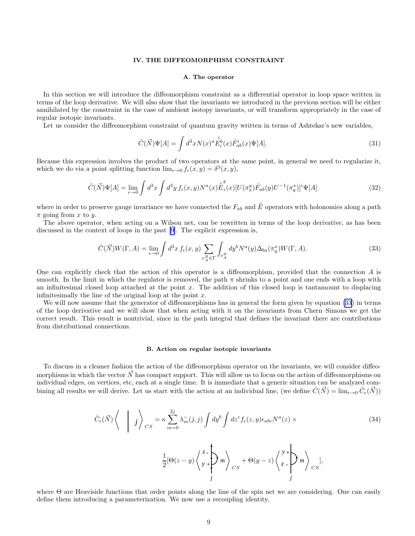# IV. THE DIFFEOMORPHISM CONSTRAINT

# A. The operator

In this section we will introduce the diffeomorphism constraint as a differential operator in loop space written in terms of the loop derivative. We will also show that the invariants we introduced in the previous section will be either annihilated by the constraint in the case of ambient isotopy invariants, or will transform appropriately in the case of regular isotopic invariants.

Let us consider the diffeomorphism constraint of quantum gravity written in terms of Ashtekar's new variables,

$$
\hat{C}(\vec{N})\Psi[A] = \int d^3x N(x)^a \hat{E}_i^b(x) \hat{F}_{ab}^i(x) \Psi[A]. \tag{31}
$$

Because this expression involves the product of two operators at the same point, in general we need to regularize it, which we do via a point splitting function  $\lim_{\epsilon \to 0} f_{\epsilon}(x, y) = \delta^3(x, y)$ ,

$$
\hat{C}(\vec{N})\Psi[A] = \lim_{\epsilon \to 0} \int d^3x \int d^3y f_{\epsilon}(x,y) N^a(x) \hat{\vec{E}}_i^b(x) [U(\pi_x^y) \hat{F}_{ab}(y) U^{-1}(\pi_y^x)]^i \Psi[A] \tag{32}
$$

where in order to preserve gauge invariance we have connected the  $F_{ab}$  and  $\tilde{E}$  operators with holonomies along a path  $\pi$  going from x to y.

The above operator, when acting on a Wilson net, can be rewritten in terms of the loop derivative, as has been discussed in the context of loops in the past[[9\]](#page-15-0). The explicit expression is,

$$
\hat{C}(\vec{N})W(\Gamma,A) = \lim_{\epsilon \to 0} \int d^3x \, f_{\epsilon}(x,y) \sum_{e_A^B \in \Gamma} \int_{e_A^B} dy^b N^a(y) \Delta_{ba}(\pi_y^x) W(\Gamma,A). \tag{33}
$$

One can explicitly check that the action of this operator is a diffeomorphism, provided that the connection A is smooth. In the limit in which the regulator is removed, the path  $\pi$  shrinks to a point and one ends with a loop with an infinitesimal closed loop attached at the point  $x$ . The addition of this closed loop is tantamount to displacing infinitesimally the line of the original loop at the point  $x$ .

We will now assume that the generator of diffeomorphisms has in general the form given by equation (33) in terms of the loop derivative and we will show that when acting with it on the invariants from Chern–Simons we get the correct result. This result is nontrivial, since in the path integral that defines the invariant there are contributions from distributional connections.

#### B. Action on regular isotopic invariants

To discuss in a cleaner fashion the action of the diffeomorphism operator on the invariants, we will consider diffeomorphisms in which the vector  $\vec{N}$  has compact support. This will allow us to focus on the action of diffeomorphisms on individual edges, on vertices, etc, each at a single time. It is immediate that a generic situation can be analyzed combining all results we will derive. Let us start with the action at an individual line, (we define  $\hat{C}(\vec{N}) = \lim_{\epsilon \to 0} \hat{C}_{\epsilon}(\vec{N})$ )

$$
\hat{C}_{\epsilon}(\vec{N}) \left\langle \begin{array}{c} \left| \left| j \right| \right\rangle_{CS} = \kappa \sum_{m=0}^{2j} \lambda_m^-(j,j) \int dy^b \int dz^c f_{\epsilon}(z,y) \epsilon_{abc} N^a(z) \times \right. \end{array} \right. \tag{34}
$$

$$
\frac{1}{2}[\Theta(z-y)\left\langle \frac{z}{y} + \frac{1}{y}\right\rangle_{CS} + \Theta(y-z)\left\langle \frac{y}{z} + \frac{1}{y}\right\rangle_{CS}],
$$

where Θ are Heaviside functions that order points along the line of the spin net we are considering. One can easily define them introducing a parameterization. We now use a recoupling identity,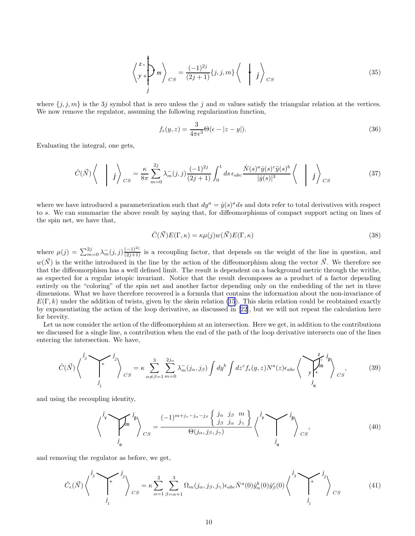$$
\left\langle \begin{array}{c} z \\ y \\ \downarrow \end{array} \right\rangle_{CS} = \frac{(-1)^{2j}}{(2j+1)} \{j, j, m\} \left\langle \begin{array}{c} 1 \\ j \end{array} \right\rangle_{CS} \tag{35}
$$

<span id="page-10-0"></span>where  $\{j, j, m\}$  is the 3j symbol that is zero unless the j and m values satisfy the triangular relation at the vertices. We now remove the regulator, assuming the following regularization function,

$$
f_{\epsilon}(y,z) = \frac{3}{4\pi\epsilon^3} \Theta(\epsilon - |z - y|). \tag{36}
$$

Evaluating the integral, one gets,

$$
\hat{C}(\vec{N}) \left\langle \begin{array}{c} \left| \left| j \right\rangle_{CS} = \frac{\kappa}{8\pi} \sum_{m=0}^{2j} \lambda_m^-(j,j) \frac{(-1)^{2j}}{(2j+1)} \int_0^1 ds \,\epsilon_{abc} \frac{\dot{N}(s)^a \dot{y}(s)^c \ddot{y}(s)^b}{|\dot{y}(s)|^3} \right\langle \left| \left| j \right\rangle_{CS} \end{array} \right. \tag{37}
$$

where we have introduced a parameterization such that  $dy^a = \dot{y}(s)^a ds$  and dots refer to total derivatives with respect to s. We can summarize the above result by saying that, for diffeomorphisms of compact support acting on lines of the spin net, we have that,

$$
\hat{C}(\vec{N})E(\Gamma,\kappa) = \kappa \mu(j)w(\vec{N})E(\Gamma,\kappa)
$$
\n(38)

where  $\mu(j) = \sum_{m=0}^{2j} \lambda_m^{-1}(j,j) \frac{(-1)^{2j}}{(2j+1)}$  is a recoupling factor, that depends on the weight of the line in question, and  $w(\vec{N})$  is the writhe introduced in the line by the action of the diffeomorphism along the vector  $\vec{N}$ . We therefore see that the diffeomorphism has a well defined limit. The result is dependent on a background metric through the writhe, as expected for a regular istopic invariant. Notice that the result decomposes as a product of a factor depending entirely on the "coloring" of the spin net and another factor depending only on the embedding of the net in three dimensions. What we have therefore recovered is a formula that contains the information about the non-invariance of  $E(\Gamma, k)$  under the addition of twists, given by the skein relation [\(15](#page-5-0)). This skein relation could be reobtained exactly by exponentiating the action of the loop derivative, as discussed in[[22\]](#page-15-0), but we will not repeat the calculation here for brevity.

Let us now consider the action of the diffeomorphism at an intersection. Here we get, in addition to the contributions we discussed for a single line, a contribution when the end of the path of the loop derivative intersects one of the lines entering the intersection. We have,

$$
\hat{C}(\vec{N})\left\langle\begin{array}{c}j_{3} \\ \left\langle\begin{array}{c} \\ \\ \end{array}\right\rangle_{CS} = \kappa \sum_{\alpha \neq \beta=1}^{3} \sum_{m=0}^{2j_{\alpha}} \lambda_{m}^{-}(j_{\alpha},j_{\beta}) \int dy^{b} \int dz^{c} f_{\epsilon}(y,z) N^{a}(z) \epsilon_{abc} \left\langle\begin{array}{c} \\ \\ \\ \end{array}\right\rangle_{CS}^{z} , \tag{39}
$$

and using the recoupling identity,

$$
\left\langle \bigwedge^j \bigwedge_{j_\alpha}^{j_\beta} \bigwedge_{CS} = \frac{(-1)^{m+j_\gamma-j_\alpha-j_\beta} \left\{ \begin{array}{ccc} j_\alpha & j_\beta & m \\ j_\beta & j_\alpha & j_\gamma \end{array} \right\}}{\Theta(j_\alpha, j_\beta, j_\gamma)} \left\langle \bigwedge^{j_\gamma} \bigwedge_{CS}^{j_\beta} \bigwedge_{CS} \right\rangle \right\}
$$
(40)

and removing the regulator as before, we get,

$$
\hat{C}_{\epsilon}(\vec{N})\left\langle\begin{array}{c}j_{3} \\ \left\langle\begin{array}{c} \\ \\ \end{array}\right\rangle_{CS} = \kappa \sum_{\alpha=1}^{2} \sum_{\beta=\alpha+1}^{3} \Omega_{m}(j_{\alpha},j_{\beta},j_{\gamma})\epsilon_{abc}\dot{N}^{a}(0)\dot{y}_{\alpha}^{b}(0)\dot{y}_{\beta}^{c}(0)\left\langle\begin{array}{c} \\ \\ \\ \end{array}\right\rangle_{CS}^{j} \left\langle\begin{array}{c} \\ \\ \\ \end{array}\right\rangle_{CS} \tag{41}
$$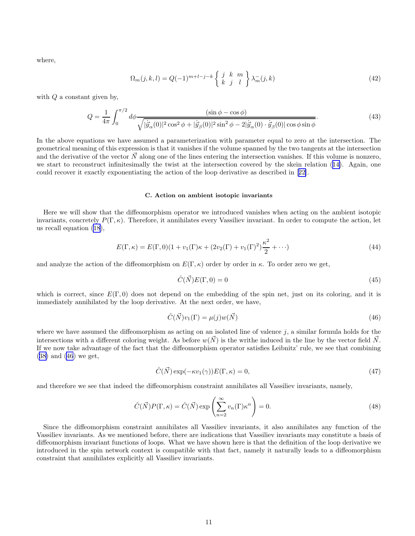where,

$$
\Omega_m(j,k,l) = Q(-1)^{m+l-j-k} \left\{ \begin{array}{ccc} j & k & m \\ k & j & l \end{array} \right\} \lambda_m^{-}(j,k)
$$
\n(42)

with  $Q$  a constant given by,

$$
Q = \frac{1}{4\pi} \int_0^{\pi/2} d\phi \frac{(\sin \phi - \cos \phi)}{\sqrt{|\vec{y}_\alpha(0)|^2 \cos^2 \phi + |\vec{y}_\beta(0)|^2 \sin^2 \phi - 2|\vec{y}_\alpha(0) \cdot \vec{y}_\beta(0)| \cos \phi \sin \phi}}.
$$
(43)

In the above equations we have assumed a parameterization with parameter equal to zero at the intersection. The geometrical meaning of this expression is that it vanishes if the volume spanned by the two tangents at the intersection and the derivative of the vector  $\vec{N}$  along one of the lines entering the intersection vanishes. If this volume is nonzero, we start to reconstruct infinitesimally the twist at the intersection covered by the skein relation([14\)](#page-5-0). Again, one could recover it exactly exponentiating the action of the loop derivative as described in[[22\]](#page-15-0).

#### C. Action on ambient isotopic invariants

Here we will show that the diffeomorphism operator we introduced vanishes when acting on the ambient isotopic invariants, concretely  $P(\Gamma, \kappa)$ . Therefore, it annihilates every Vassiliev invariant. In order to compute the action, let us recall equation([18\)](#page-5-0),

$$
E(\Gamma, \kappa) = E(\Gamma, 0)(1 + v_1(\Gamma)\kappa + (2v_2(\Gamma) + v_1(\Gamma)^2)\frac{\kappa^2}{2} + \cdots)
$$
\n(44)

and analyze the action of the diffeomorphism on  $E(\Gamma, \kappa)$  order by order in  $\kappa$ . To order zero we get,

$$
\hat{C}(\vec{N})E(\Gamma,0) = 0\tag{45}
$$

which is correct, since  $E(\Gamma, 0)$  does not depend on the embedding of the spin net, just on its coloring, and it is immediately annihilated by the loop derivative. At the next order, we have,

$$
\hat{C}(\vec{N})v_1(\Gamma) = \mu(j)w(\vec{N})\tag{46}
$$

where we have assumed the diffeomorphism as acting on an isolated line of valence  $j$ , a similar formula holds for the intersections with a different coloring weight. As before  $w(\vec{N})$  is the writhe induced in the line by the vector field  $\vec{N}$ . If we now take advantage of the fact that the diffeomorphism operator satisfies Leibnitz' rule, we see that combining ([38\)](#page-10-0) and (46) we get,

$$
\hat{C}(\vec{N}) \exp(-\kappa v_1(\gamma)) E(\Gamma, \kappa) = 0, \tag{47}
$$

and therefore we see that indeed the diffeomorphism constraint annihilates all Vassiliev invariants, namely,

$$
\hat{C}(\vec{N})P(\Gamma,\kappa) = \hat{C}(\vec{N})\exp\left(\sum_{n=2}^{\infty}v_n(\Gamma)\kappa^n\right) = 0.
$$
\n(48)

Since the diffeomorphism constraint annihilates all Vassiliev invariants, it also annihilates any function of the Vassiliev invariants. As we mentioned before, there are indications that Vassiliev invariants may constitute a basis of diffeomorphism invariant functions of loops. What we have shown here is that the definition of the loop derivative we introduced in the spin network context is compatible with that fact, namely it naturally leads to a diffeomorphism constraint that annihilates explicitly all Vassiliev invariants.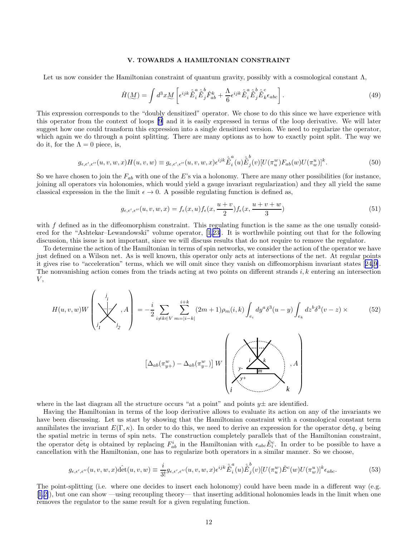## V. TOWARDS A HAMILTONIAN CONSTRAINT

<span id="page-12-0"></span>Let us now consider the Hamiltonian constraint of quantum gravity, possibly with a cosmological constant  $\Lambda$ ,

$$
\hat{H}(\underline{M}) = \int d^3x \underline{M} \left[ \epsilon^{ijk} \hat{\tilde{E}}_i^a \hat{\tilde{E}}_j^b \hat{F}_{ab}^k + \frac{\Lambda}{6} \epsilon^{ijk} \hat{\tilde{E}}_i^a \hat{\tilde{E}}_j^b \hat{\tilde{E}}_k^c \epsilon_{abc} \right]. \tag{49}
$$

This expression corresponds to the "doubly densitized" operator. We chose to do this since we have experience with this operator from the context of loops [\[9](#page-15-0)] and it is easily expressed in terms of the loop derivative. We will later suggest how one could transform this expression into a single densitized version. We need to regularize the operator, which again we do through a point splitting. There are many options as to how to exactly point split. The way we do it, for the  $\Lambda = 0$  piece, is,

$$
g_{\epsilon,\epsilon',\epsilon''}(u,v,w,x)H(u,v,w) \equiv g_{\epsilon,\epsilon',\epsilon''}(u,v,w,x)\epsilon^{ijk}\tilde{\tilde{E}}_i^a(u)\tilde{\tilde{E}}_j^b(v)[U(\pi_u^w)F_{ab}(w)U(\pi_w^u)]^k. \tag{50}
$$

So we have chosen to join the  $F_{ab}$  with one of the E's via a holonomy. There are many other possibilities (for instance, joining all operators via holonomies, which would yield a gauge invariant regularization) and they all yield the same classical expression in the the limit  $\epsilon \to 0$ . A possible regulating function is defined as,

$$
g_{\epsilon,\epsilon',\epsilon''}(u,v,w,x) = f_{\epsilon}(x,u)f_{\epsilon}(x,\frac{u+v}{2})f_{\epsilon}(x,\frac{u+v+w}{3})
$$
\n(51)

with f defined as in the diffeomorphism constraint. This regulating function is the same as the one usually considered for the "Ashtekar–Lewandowski" volume operator, [\[1](#page-14-0),[23\]](#page-15-0). It is worthwhile pointing out that for the following discussion, this issue is not important, since we will discuss results that do not require to remove the regulator.

To determine the action of the Hamiltonian in terms of spin networks, we consider the action of the operator we have just defined on a Wilson net. As is well known, this operator only acts at intersections of the net. At regular points it gives rise to "acceleration" terms, which we will omit since they vanish on diffeomorphism invariant states[[24,9\]](#page-15-0). The nonvanishing action comes from the triads acting at two points on different strands  $i, k$  entering an intersection  $V,$ 

$$
H(u, v, w)W\left(\sum_{j_1}^{j_1} \ldots \sum_{j_2}^{j_1} \right) = -\frac{i}{2} \sum_{i \neq k \in V} \sum_{m=|i-k|}^{i+k} (2m+1)\rho_m(i,k) \int_{e_i} dy^a \delta^3(u-y) \int_{e_k} dz^b \delta^3(v-z) \times
$$
 (52)  

$$
\left[\Delta_{ab}(\pi_{y+}^w) - \Delta_{ab}(\pi_{y-}^w)\right]W\left(\sum_{j_1}^{j_1} \ldots \sum_{j_k}^{j_k} \ldots \sum_{j_k}^{j_k} \ldots \sum_{k}^{j_k} \ldots \times \sum_{k}^{j_k} \ldots \times \sum_{k}^{j_k} \ldots \times \sum_{k}^{j_k} \ldots \times \sum_{k}^{j_k} \ldots \times \sum_{k}^{j_k} \ldots \times \sum_{k}^{j_k} \ldots \times \sum_{k}^{j_k} \ldots \times \sum_{k}^{j_k} \ldots \times \sum_{k}^{j_k} \ldots \times \sum_{k}^{j_k} \ldots \times \sum_{k}^{j_k} \ldots \times \sum_{k}^{j_k} \ldots \times \sum_{k}^{j_k} \ldots \times \sum_{k}^{j_k} \ldots \times \sum_{k}^{j_k} \ldots \times \sum_{k}^{j_k} \ldots \times \sum_{k}^{j_k} \ldots \times \sum_{k}^{j_k} \ldots \times \sum_{k}^{j_k} \ldots \times \sum_{k}^{j_k} \ldots \times \sum_{k}^{j_k} \ldots \times \sum_{k}^{j_k} \ldots \times \sum_{k}^{j_k} \ldots \times \sum_{k}^{j_k} \ldots \times \sum_{k}^{j_k} \ldots \times \sum_{k}^{j_k} \ldots \times \sum_{k}^{j_k} \ldots \times \sum_{k}^{j_k} \ldots \times \sum_{k}^{j_k} \ldots \times \sum_{k}^{j_k} \ldots \times \sum_{k}^{j_k} \ldots \times \sum_{k}^{j_k} \ldots \times \sum_{k}^{j_k} \ldots \times \sum_{k}^{j_k} \ldots \times \sum_{k}^{j_k} \ldots \times \sum_{k}^{j_k} \ldots \times \sum_{k}^{j_k} \ldots \times \sum_{k}^{j_k} \ldots \times \sum_{k
$$

where in the last diagram all the structure occurs "at a point" and points  $y\pm$  are identified.

Having the Hamiltonian in terms of the loop derivative allows to evaluate its action on any of the invariants we have been discussing. Let us start by showing that the Hamiltonian constraint with a cosmological constant term annihilates the invariant  $E(\Gamma, \kappa)$ . In order to do this, we need to derive an expression for the operator deta, q being the spatial metric in terms of spin nets. The construction completely parallels that of the Hamiltonian constraint, the operator detq is obtained by replacing  $F_{ab}^i$  in the Hamiltonian with  $\epsilon_{abc}\tilde{E}_i^c$ . In order to be possible to have a cancellation with the Hamiltonian, one has to regularize both operators in a similar manner. So we choose,

$$
g_{\epsilon,\epsilon',\epsilon''}(u,v,w,x)\hat{\det}(u,v,w) \equiv \frac{i}{3!}g_{\epsilon,\epsilon',\epsilon''}(u,v,w,x)\epsilon^{ijk}\hat{\tilde{E}}_i^a(u)\hat{\tilde{E}}_j^b(v)[U(\pi_u^w)\tilde{E}^c(w)U(\pi_w^u)]^k\epsilon_{abc}.
$$
\n(53)

The point-splitting (i.e. where one decides to insert each holonomy) could have been made in a different way (e.g. [[1,2\]](#page-14-0)), but one can show —using recoupling theory— that inserting additional holonomies leads in the limit when one removes the regulator to the same result for a given regulating function.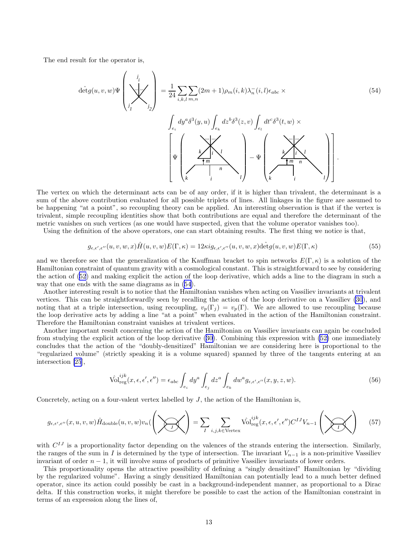The end result for the operator is,

$$
\hat{\det}g(u,v,w)\Psi\left(\sum_{j_1}^{j_i}\right) = \frac{1}{24}\sum_{i,k,l} \sum_{m,n} (2m+1)\rho_m(i,k)\lambda_n^-(i,l)\epsilon_{abc} \times
$$
\n
$$
\int_{e_i} dy^a \delta^3(y,u) \int_{e_k} dz^b \delta^3(z,v) \int_{e_l} dt^c \delta^3(t,w) \times
$$
\n
$$
\Psi\left(\sum_{k}^{k} \sum_{i=1}^{k} \frac{l}{m} \right) - \Psi\left(\sum_{k}^{k} \frac{l}{m} \right).
$$
\n(54)

The vertex on which the determinant acts can be of any order, if it is higher than trivalent, the determinant is a sum of the above contribution evaluated for all possible triplets of lines. All linkages in the figure are assumed to be happening "at a point", so recoupling theory can be applied. An interesting observation is that if the vertex is trivalent, simple recoupling identities show that both contributions are equal and therefore the determinant of the metric vanishes on such vertices (as one would have suspected, given that the volume operator vanishes too).

Using the definition of the above operators, one can start obtaining results. The first thing we notice is that,

$$
g_{\epsilon,\epsilon',\epsilon''}(u,v,w,x)\hat{H}(u,v,w)E(\Gamma,\kappa) = 12\kappa i g_{\epsilon,\epsilon',\epsilon''}(u,v,w,x) \hat{\text{det}}g(u,v,w)E(\Gamma,\kappa) \tag{55}
$$

and we therefore see that the generalization of the Kauffman bracket to spin networks  $E(\Gamma, \kappa)$  is a solution of the Hamiltonian constraint of quantum gravity with a cosmological constant. This is straightforward to see by considering the action of [\(52](#page-12-0)) and making explicit the action of the loop derivative, which adds a line to the diagram in such a way that one ends with the same diagrams as in (54).

Another interesting result is to notice that the Hamiltonian vanishes when acting on Vassiliev invariants at trivalent vertices. This can be straightforwardly seen by recalling the action of the loop derivative on a Vassiliev [\(30](#page-8-0)), and noting that at a triple intersection, using recoupling,  $v_p(\Gamma_j) = v_p(\Gamma)$ . We are allowed to use recoupling because the loop derivative acts by adding a line "at a point" when evaluated in the action of the Hamiltonian constraint. Therefore the Hamiltonian constraint vanishes at trivalent vertices.

Another important result concerning the action of the Hamiltonian on Vassiliev invariants can again be concluded from studying the explicit action of the loop derivative([30](#page-8-0)). Combining this expression with [\(52\)](#page-12-0) one immediately concludes that the action of the "doubly-densitized" Hamiltonian we are considering here is proportional to the "regularized volume" (strictly speaking it is a volume squared) spanned by three of the tangents entering at an intersection [\[25](#page-15-0)],

$$
\hat{\text{Vol}}_{\text{reg}}^{ijk}(x,\epsilon,\epsilon',\epsilon'') = \epsilon_{abc} \int_{e_i} dy^a \int_{e_j} dz^a \int_{e_k} dw^a g_{\epsilon,\epsilon',\epsilon''}(x,y,z,w). \tag{56}
$$

Concretely, acting on a four-valent vertex labelled by  $J$ , the action of the Hamiltonian is,

$$
g_{\epsilon,\epsilon',\epsilon''}(x,u,v,w)\hat{H}_{\text{double}}(u,v,w)v_n(\left(\sum_{J}\sum_{i,j,k\in\text{Vertex}}\hat{\text{Vol}}_{\text{reg}}^{ijk}(x,\epsilon,\epsilon',\epsilon'')C^{IJ}V_{n-1}\left(\sum_{J}\sum_{j,k\in\text{Vertex}}\hat{\text{vol}}_{\text{reg}}^{ijk}(x,\epsilon,\epsilon',\epsilon'')C^{IJ}V_{n-1}\left(\sum_{J}\sum_{j,k\in\text{Vertex}}\hat{\text{Vol}}_{\text{reg}}^{ijk}(x,\epsilon,\epsilon',\epsilon'')C^{IJ}V_{n-1}\left(\sum_{J}\sum_{j,k\in\text{Vertex}}\hat{\text{Vol}}_{\text{reg}}^{ijk}(x,\epsilon,\epsilon',\epsilon'')C^{IJ}V_{n-1}\left(\sum_{J}\sum_{j,k\in\text{Vertex}}\hat{\text{Vol}}_{\text{reg}}^{ijk}(x,\epsilon,\epsilon',\epsilon'')C^{IJ}V_{n-1}\left(\sum_{J}\sum_{j,k\in\text{Vertex}}\hat{\text{Vol}}_{\text{reg}}^{ijk}(x,\epsilon,\epsilon',\epsilon'')C^{IJ}V_{n-1}\left(\sum_{J}\sum_{j,k\in\text{Vertex}}\hat{\text{Vol}}_{\text{reg}}^{ijk}(x,\epsilon,\epsilon',\epsilon'')C^{IJ}V_{n-1}\left(\sum_{J}\sum_{j,k\in\text{Vertex}}\hat{\text{Vol}}_{\text{reg}}^{ijk}(x,\epsilon,\epsilon',\epsilon'')C^{IJ}V_{n-1}\left(\sum_{J}\sum_{j,k\in\text{Vertex}}\hat{\text{Vol}}_{\text{reg}}^{ijk}(x,\epsilon,\epsilon',\epsilon'')C^{IJ}V_{n-1}\left(\sum_{J}\sum_{j,k\in\text{Vertex}}\hat{\text{Vol}}_{\text{reg}}^{ijk}(x,\epsilon,\epsilon',\epsilon'')C^{IJ}V_{n-1}\left(\sum_{J}\sum_{j,k\in\text{Vertex}}\hat{\text{Vol}}_{\text{reg}}^{ijk}(x,\epsilon,\epsilon',\epsilon'')C^{IJ}V_{n-1}\left(\sum_{J}\sum_{j,k\in\text{Vertex}}\hat{\text{Vol}}_{\text{reg}}^{ijk}(x,\epsilon,\epsilon',\epsilon'')C^{IJ}V_{n-1}\left(\sum_{J}\sum_{j,k\in\text{Vertex}}\hat{\text{Vol}}_{\text{reg}}^{ijk}(x,\epsilon,\epsilon',\epsilon'')C^{IJ}V_{n-1}\left(\sum_{J}\sum_{j,k\in\text{Vertex}}\hat{\text{Vol}}_{\text{reg}}^{ijk}(x,\epsilon,\
$$

with  $C^{IJ}$  is a proportionality factor depending on the valences of the strands entering the intersection. Similarly, the ranges of the sum in I is determined by the type of intersection. The invariant  $V_{n-1}$  is a non-primitive Vassiliev invariant of order  $n - 1$ , it will involve sums of products of primitive Vassiliev invariants of lower orders.

This proportionality opens the attractive possibility of defining a "singly densitized" Hamiltonian by "dividing by the regularized volume". Having a singly densitized Hamiltonian can potentially lead to a much better defined operator, since its action could possibly be cast in a background-independent manner, as proportional to a Dirac delta. If this construction works, it might therefore be possible to cast the action of the Hamiltonian constraint in terms of an expression along the lines of,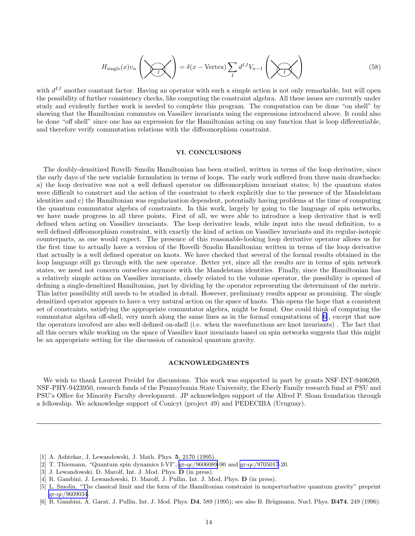$$
H_{\text{single}}(x)v_n\left(\sum_{J}\left(\sum_{J}\right) = \delta(x - \text{Vertex})\sum_{I} d^{IJ}V_{n-1}\left(\sum_{J}\left(\sum_{J}\right)\right)
$$
\n(58)

<span id="page-14-0"></span>with  $d^{IJ}$  another constant factor. Having an operator with such a simple action is not only remarkable, but will open the possibility of further consistency checks, like computing the constraint algebra. All these issues are currently under study and evidently further work is needed to complete this program. The computation can be done "on shell" by showing that the Hamiltonian commutes on Vassiliev invariants using the expressions introduced above. It could also be done "off shell" since one has an expression for the Hamiltonian acting on any function that is loop differentiable, and therefore verify commutation relations with the diffeomorphism constraint.

## VI. CONCLUSIONS

The doubly-densitized Rovelli–Smolin Hamiltonian has been studied, written in terms of the loop derivative, since the early days of the new variable formulation in terms of loops. The early work suffered from three main drawbacks: a) the loop derivative was not a well defined operator on diffeomorphism invariant states; b) the quantum states were difficult to construct and the action of the constraint to check explicitly due to the presence of the Mandelstam identities and c) the Hamiltonian was regularization dependent, potentially having problems at the time of computing the quantum commutator algebra of constraints. In this work, largely by going to the language of spin networks, we have made progress in all three points. First of all, we were able to introduce a loop derivative that is well defined when acting on Vassiliev invariants. The loop derivative leads, while input into the usual definition, to a well defined diffeomorphism constraint, with exactly the kind of action on Vassiliev invariants and its regular-isotopic counterparts, as one would expect. The presence of this reasonable-looking loop derivative operator allows us for the first time to actually have a version of the Rovelli–Smolin Hamiltonian written in terms of the loop derivative that actually is a well defined operator on knots. We have checked that several of the formal results obtained in the loop language still go through with the new operator. Better yet, since all the results are in terms of spin network states, we need not concern ourselves anymore with the Mandelstam identities. Finally, since the Hamiltonian has a relatively simple action on Vassiliev invariants, closely related to the volume operator, the possibility is opened of defining a single-densitized Hamiltonian, just by dividing by the operator representing the determinant of the metric. This latter possibility still needs to be studied in detail. However, preliminary results appear as promising. The single densitized operator appears to have a very natural action on the space of knots. This opens the hope that a consistent set of constraints, satisfying the appropriate commutator algebra, might be found. One could think of computing the commutator algebra off-shell, very much along the same lines as in the formal computations of [6], except that now the operators involved are also well defined on-shell (i.e. when the wavefunctions are knot invariants) . The fact that all this occurs while working on the space of Vassiliev knot invariants based on spin networks suggests that this might be an appropriate setting for the discussion of canonical quantum gravity.

### ACKNOWLEDGMENTS

We wish to thank Laurent Freidel for discussions. This work was supported in part by grants NSF-INT-9406269, NSF-PHY-9423950, research funds of the Pennsylvania State University, the Eberly Family research fund at PSU and PSU's Office for Minority Faculty development. JP acknowledges support of the Alfred P. Sloan foundation through a fellowship. We acknowledge support of Conicyt (project 49) and PEDECIBA (Uruguay).

- [1] A. Ashtekar, J. Lewandowski, J. Math. Phys. 5, 2170 (1995).
- [2] T. Thiemann, "Quantum spin dynamics I-VI", [gr-qc/9606089-](http://arxiv.org/abs/gr-qc/9606089)90 and [gr-qc/9705017](http://arxiv.org/abs/gr-qc/9705017)-20.
- [3] J. Lewandowski, D. Marolf, Int. J. Mod. Phys. D (in press).
- [4] R. Gambini, J. Lewandowski, D. Marolf, J. Pullin, Int. J. Mod. Phys. **D** (in press).

<sup>[5]</sup> L. Smolin, "The classical limit and the form of the Hamiltonian constraint in nonperturbative quantum gravity" preprint [gr-qc/9609034](http://arxiv.org/abs/gr-qc/9609034).

<sup>[6]</sup> R. Gambini, A. Garat, J. Pullin, Int. J. Mod. Phys. D4, 589 (1995); see also B. Brügmann, Nucl. Phys. B474, 249 (1996).